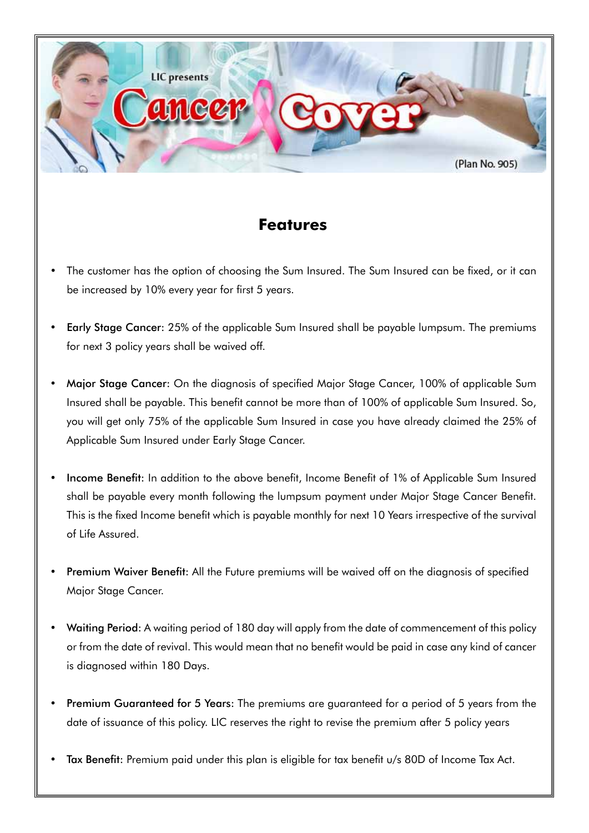

## **Features**

- The customer has the option of choosing the Sum Insured. The Sum Insured can be fixed, or it can be increased by 10% every year for first 5 years.
- **Early Stage Cancer:** 25% of the applicable Sum Insured shall be payable lumpsum. The premiums for next 3 policy years shall be waived off.
- Major Stage Cancer: On the diagnosis of specified Major Stage Cancer, 100% of applicable Sum Insured shall be payable. This benefit cannot be more than of 100% of applicable Sum Insured. So, you will get only 75% of the applicable Sum Insured in case you have already claimed the 25% of Applicable Sum Insured under Early Stage Cancer.
- Income Benefit: In addition to the above benefit, Income Benefit of 1% of Applicable Sum Insured shall be payable every month following the lumpsum payment under Major Stage Cancer Benefit. This is the fixed Income benefit which is payable monthly for next 10 Years irrespective of the survival of Life Assured.
- Premium Waiver Benefit: All the Future premiums will be waived off on the diagnosis of specified Major Stage Cancer.
- Waiting Period: A waiting period of 180 day will apply from the date of commencement of this policy or from the date of revival. This would mean that no benefit would be paid in case any kind of cancer is diagnosed within 180 Days.
- Premium Guaranteed for 5 Years: The premiums are guaranteed for a period of 5 years from the date of issuance of this policy. LIC reserves the right to revise the premium after 5 policy years
- Tax Benefit: Premium paid under this plan is eligible for tax benefit u/s 80D of Income Tax Act.